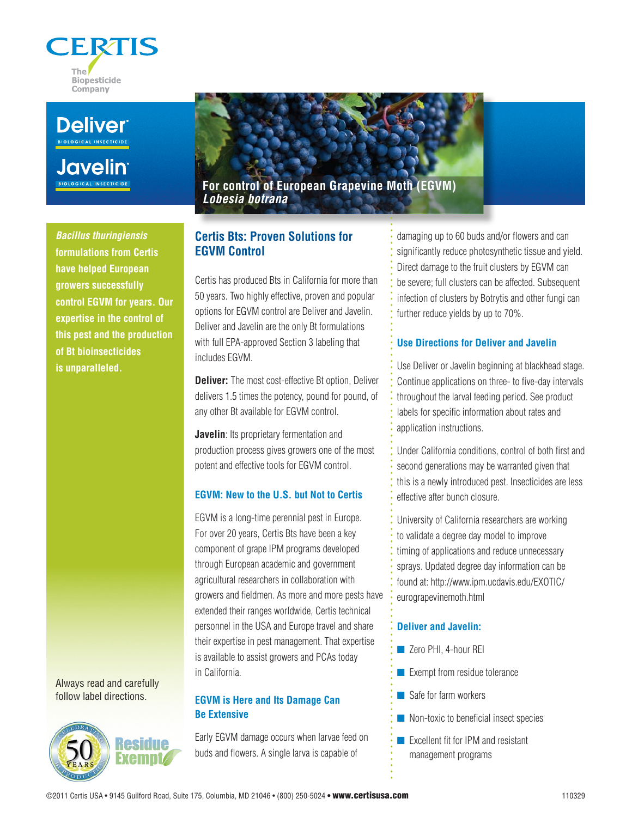



**Javelin** 

*Bacillus thuringiensis*  **formulations from Certis have helped European growers successfully control EGVM for years. Our expertise in the control of this pest and the production of Bt bioinsecticides is unparalleled.**

Always read and carefully follow label directions.



**For control of European Grapevine Moth (EGVM)** *Lobesia botrana*

# **Certis Bts: Proven Solutions for EGVM Control**

Certis has produced Bts in California for more than 50 years. Two highly effective, proven and popular options for EGVM control are Deliver and Javelin. Deliver and Javelin are the only Bt formulations with full EPA-approved Section 3 labeling that includes EGVM.

**Deliver:** The most cost-effective Bt option, Deliver delivers 1.5 times the potency, pound for pound, of any other Bt available for EGVM control.

**Javelin**: Its proprietary fermentation and production process gives growers one of the most potent and effective tools for EGVM control.

### **EGVM: New to the U.S. but Not to Certis**

EGVM is a long-time perennial pest in Europe. For over 20 years, Certis Bts have been a key component of grape IPM programs developed through European academic and government agricultural researchers in collaboration with growers and fieldmen. As more and more pests have extended their ranges worldwide, Certis technical personnel in the USA and Europe travel and share their expertise in pest management. That expertise is available to assist growers and PCAs today in California.

## **EGVM is Here and Its Damage Can Be Extensive**

Early EGVM damage occurs when larvae feed on buds and flowers. A single larva is capable of

damaging up to 60 buds and/or flowers and can significantly reduce photosynthetic tissue and yield. Direct damage to the fruit clusters by EGVM can be severe; full clusters can be affected. Subsequent infection of clusters by Botrytis and other fungi can further reduce yields by up to 70%.

## **Use Directions for Deliver and Javelin**

Use Deliver or Javelin beginning at blackhead stage. Continue applications on three- to five-day intervals throughout the larval feeding period. See product labels for specific information about rates and application instructions.

Under California conditions, control of both first and second generations may be warranted given that this is a newly introduced pest. Insecticides are less effective after bunch closure.

University of California researchers are working to validate a degree day model to improve timing of applications and reduce unnecessary sprays. Updated degree day information can be found at: http://www.ipm.ucdavis.edu/EXOTIC/ eurograpevinemoth.html

# **Deliver and Javelin:**

- Zero PHI, 4-hour REI
- $\blacksquare$  Exempt from residue tolerance
- $\blacksquare$  Safe for farm workers
- $\blacksquare$  Non-toxic to beneficial insect species
- Excellent fit for IPM and resistant management programs